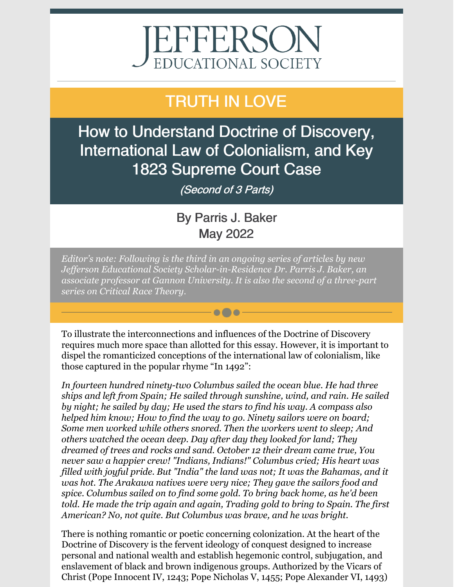# EFFERSOI EDUCATIONAL SOCIETY

## TRUTH IN LOVE

How to Understand Doctrine of Discovery, International Law of Colonialism, and Key 1823 Supreme Court Case

(Second of 3 Parts)

### By Parris J. Baker May 2022

*Editor's note: Following is the third in an ongoing series of articles by new Jef erson Educational Society Scholar-in-Residence Dr. Parris J. Baker, an associate professor at Gannon University. It is also the second of a three-part series on Critical Race Theory.*

To illustrate the interconnections and influences of the Doctrine of Discovery requires much more space than allotted for this essay. However, it is important to dispel the romanticized conceptions of the international law of colonialism, like those captured in the popular rhyme "In 1492":

 $\bullet\bullet\bullet$ 

*In fourteen hundred ninety-two Columbus sailed the ocean blue. He had three ships and left from Spain; He sailed through sunshine, wind, and rain. He sailed by night; he sailed by day; He used the stars to find his way. A compass also helped him know; How to find the way to go. Ninety sailors were on board; Some men worked while others snored. Then the workers went to sleep; And others watched the ocean deep. Day after day they looked for land; They dreamed of trees and rocks and sand. October 12 their dream came true, You never saw a happier crew! "Indians, Indians!" Columbus cried; His heart was filled with joyful pride. But "India" the land was not; It was the Bahamas, and it was hot. The Arakawa natives were very nice; They gave the sailors food and spice. Columbus sailed on to find some gold. To bring back home, as he'd been told. He made the trip again and again, Trading gold to bring to Spain. The first American? No, not quite. But Columbus was brave, and he was bright.*

There is nothing romantic or poetic concerning colonization. At the heart of the Doctrine of Discovery is the fervent ideology of conquest designed to increase personal and national wealth and establish hegemonic control, subjugation, and enslavement of black and brown indigenous groups. Authorized by the Vicars of Christ (Pope Innocent IV, 1243; Pope Nicholas V, 1455; Pope Alexander VI, 1493)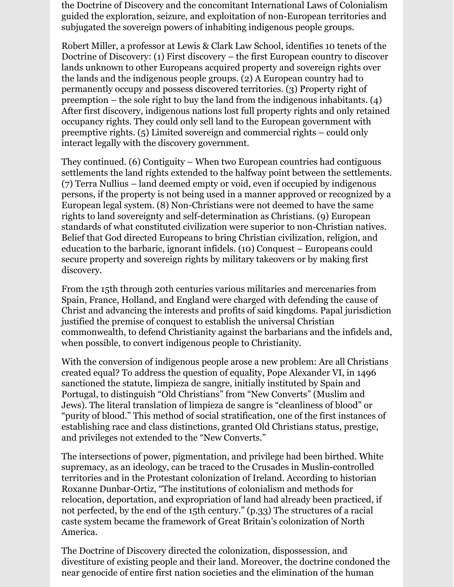the Doctrine of Discovery and the concomitant International Laws of Colonialism guided the exploration, seizure, and exploitation of non-European territories and subjugated the sovereign powers of inhabiting indigenous people groups.

Robert Miller, a professor at Lewis & Clark Law School, identifies 10 tenets of the Doctrine of Discovery: (1) First discovery – the first European country to discover lands unknown to other Europeans acquired property and sovereign rights over the lands and the indigenous people groups. (2) A European country had to permanently occupy and possess discovered territories. (3) Property right of preemption – the sole right to buy the land from the indigenous inhabitants. (4) After first discovery, indigenous nations lost full property rights and only retained occupancy rights. They could only sell land to the European government with preemptive rights. (5) Limited sovereign and commercial rights – could only interact legally with the discovery government.

They continued. (6) Contiguity – When two European countries had contiguous settlements the land rights extended to the halfway point between the settlements. (7) Terra Nullius – land deemed empty or void, even if occupied by indigenous persons, if the property is not being used in a manner approved or recognized by a European legal system. (8) Non-Christians were not deemed to have the same rights to land sovereignty and self-determination as Christians. (9) European standards of what constituted civilization were superior to non-Christian natives. Belief that God directed Europeans to bring Christian civilization, religion, and education to the barbaric, ignorant infidels. (10) Conquest – Europeans could secure property and sovereign rights by military takeovers or by making first discovery.

From the 15th through 20th centuries various militaries and mercenaries from Spain, France, Holland, and England were charged with defending the cause of Christ and advancing the interests and profits of said kingdoms. Papal jurisdiction justified the premise of conquest to establish the universal Christian commonwealth, to defend Christianity against the barbarians and the infidels and, when possible, to convert indigenous people to Christianity.

With the conversion of indigenous people arose a new problem: Are all Christians created equal? To address the question of equality, Pope Alexander VI, in 1496 sanctioned the statute, limpieza de sangre, initially instituted by Spain and Portugal, to distinguish "Old Christians" from "New Converts" (Muslim and Jews). The literal translation of limpieza de sangre is "cleanliness of blood" or "purity of blood." This method of social stratification, one of the first instances of establishing race and class distinctions, granted Old Christians status, prestige, and privileges not extended to the "New Converts."

The intersections of power, pigmentation, and privilege had been birthed. White supremacy, as an ideology, can be traced to the Crusades in Muslin-controlled territories and in the Protestant colonization of Ireland. According to historian Roxanne Dunbar-Ortiz, "The institutions of colonialism and methods for relocation, deportation, and expropriation of land had already been practiced, if not perfected, by the end of the 15th century." (p.33) The structures of a racial caste system became the framework of Great Britain's colonization of North America.

The Doctrine of Discovery directed the colonization, dispossession, and divestiture of existing people and their land. Moreover, the doctrine condoned the near genocide of entire first nation societies and the elimination of the human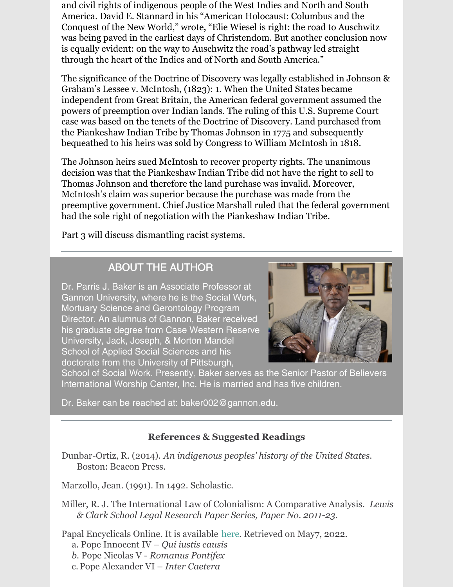and civil rights of indigenous people of the West Indies and North and South America. David E. Stannard in his "American Holocaust: Columbus and the Conquest of the New World," wrote, "Elie Wiesel is right: the road to Auschwitz was being paved in the earliest days of Christendom. But another conclusion now is equally evident: on the way to Auschwitz the road's pathway led straight through the heart of the Indies and of North and South America."

The significance of the Doctrine of Discovery was legally established in Johnson & Graham's Lessee v. McIntosh, (1823): 1. When the United States became independent from Great Britain, the American federal government assumed the powers of preemption over Indian lands. The ruling of this U.S. Supreme Court case was based on the tenets of the Doctrine of Discovery. Land purchased from the Piankeshaw Indian Tribe by Thomas Johnson in 1775 and subsequently bequeathed to his heirs was sold by Congress to William McIntosh in 1818.

The Johnson heirs sued McIntosh to recover property rights. The unanimous decision was that the Piankeshaw Indian Tribe did not have the right to sell to Thomas Johnson and therefore the land purchase was invalid. Moreover, McIntosh's claim was superior because the purchase was made from the preemptive government. Chief Justice Marshall ruled that the federal government had the sole right of negotiation with the Piankeshaw Indian Tribe.

Part 3 will discuss dismantling racist systems.

#### ABOUT THE AUTHOR

Dr. Parris J. Baker is an Associate Professor at Gannon University, where he is the Social Work, Mortuary Science and Gerontology Program Director. An alumnus of Gannon, Baker received his graduate degree from Case Western Reserve University, Jack, Joseph, & Morton Mandel School of Applied Social Sciences and his doctorate from the University of Pittsburgh,



School of Social Work. Presently, Baker serves as the Senior Pastor of Believers International Worship Center, Inc. He is married and has five children.

Dr. Baker can be reached at: baker002@gannon.edu.

#### **References & Suggested Readings**

Dunbar-Ortiz, R. (2014). *An indigenous peoples' history of the United States.* **Boston: Beacon Press.** 

Marzollo, Jean. (1991). In 1492. Scholastic.

Miller, R. J. The International Law of Colonialism: A Comparative Analysis. *Lewis llllll& Clark School Legal Research Paper Series, Paper No. 2011-23.*

Papal Encyclicals Online. It is available [here](https://www.papalencyclicals.net/). Retrieved on May7, 2022.

- *llll*a. Pope Innocent IV *Qui iustis causis*
- *llllb.* Pope Nicolas V *Romanus Pontifex*
- *llll*c. Pope Alexander VI *Inter Caetera*